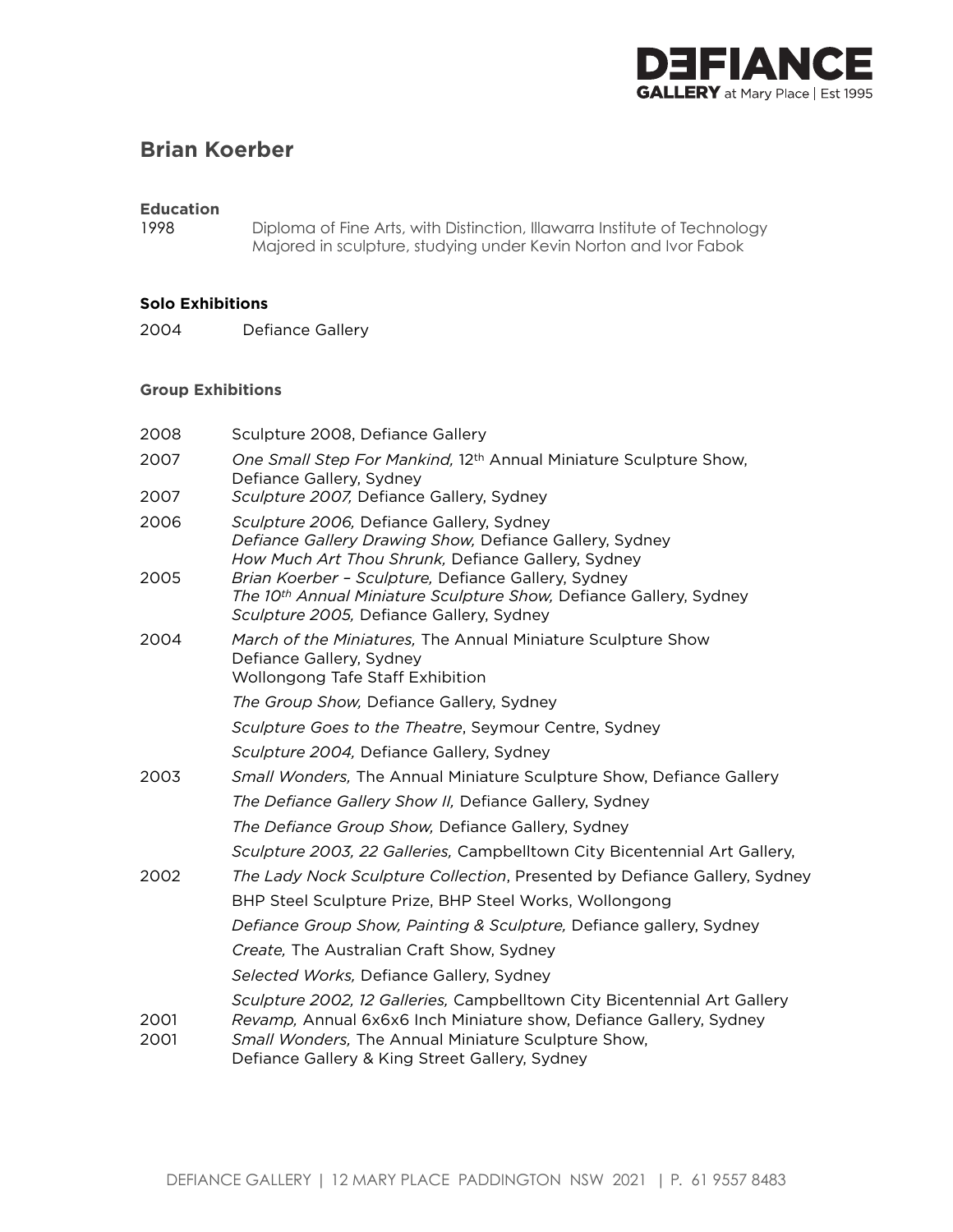

# **Brian Koerber**

### **Education**

1998 Diploma of Fine Arts, with Distinction, Illawarra Institute of Technology Majored in sculpture, studying under Kevin Norton and Ivor Fabok

#### **Solo Exhibitions**

2004 Defiance Gallery

#### **Group Exhibitions**

| 2008         | Sculpture 2008, Defiance Gallery                                                                                                                                                                                                                        |
|--------------|---------------------------------------------------------------------------------------------------------------------------------------------------------------------------------------------------------------------------------------------------------|
| 2007         | One Small Step For Mankind, 12 <sup>th</sup> Annual Miniature Sculpture Show,<br>Defiance Gallery, Sydney                                                                                                                                               |
| 2007         | Sculpture 2007, Defiance Gallery, Sydney                                                                                                                                                                                                                |
| 2006<br>2005 | Sculpture 2006, Defiance Gallery, Sydney<br>Defiance Gallery Drawing Show, Defiance Gallery, Sydney<br>How Much Art Thou Shrunk, Defiance Gallery, Sydney<br>Brian Koerber - Sculpture, Defiance Gallery, Sydney                                        |
|              | The 10th Annual Miniature Sculpture Show, Defiance Gallery, Sydney<br>Sculpture 2005, Defiance Gallery, Sydney                                                                                                                                          |
| 2004         | March of the Miniatures, The Annual Miniature Sculpture Show<br>Defiance Gallery, Sydney<br><b>Wollongong Tafe Staff Exhibition</b>                                                                                                                     |
|              | The Group Show, Defiance Gallery, Sydney                                                                                                                                                                                                                |
|              | Sculpture Goes to the Theatre, Seymour Centre, Sydney                                                                                                                                                                                                   |
|              | Sculpture 2004, Defiance Gallery, Sydney                                                                                                                                                                                                                |
| 2003         | Small Wonders, The Annual Miniature Sculpture Show, Defiance Gallery                                                                                                                                                                                    |
|              | The Defiance Gallery Show II, Defiance Gallery, Sydney                                                                                                                                                                                                  |
|              | The Defiance Group Show, Defiance Gallery, Sydney                                                                                                                                                                                                       |
|              | Sculpture 2003, 22 Galleries, Campbelltown City Bicentennial Art Gallery,                                                                                                                                                                               |
| 2002         | The Lady Nock Sculpture Collection, Presented by Defiance Gallery, Sydney                                                                                                                                                                               |
|              | BHP Steel Sculpture Prize, BHP Steel Works, Wollongong                                                                                                                                                                                                  |
|              | Defiance Group Show, Painting & Sculpture, Defiance gallery, Sydney                                                                                                                                                                                     |
|              | Create, The Australian Craft Show, Sydney                                                                                                                                                                                                               |
|              | Selected Works, Defiance Gallery, Sydney                                                                                                                                                                                                                |
| 2001<br>2001 | Sculpture 2002, 12 Galleries, Campbelltown City Bicentennial Art Gallery<br>Revamp, Annual 6x6x6 Inch Miniature show, Defiance Gallery, Sydney<br>Small Wonders, The Annual Miniature Sculpture Show,<br>Defiance Gallery & King Street Gallery, Sydney |
|              |                                                                                                                                                                                                                                                         |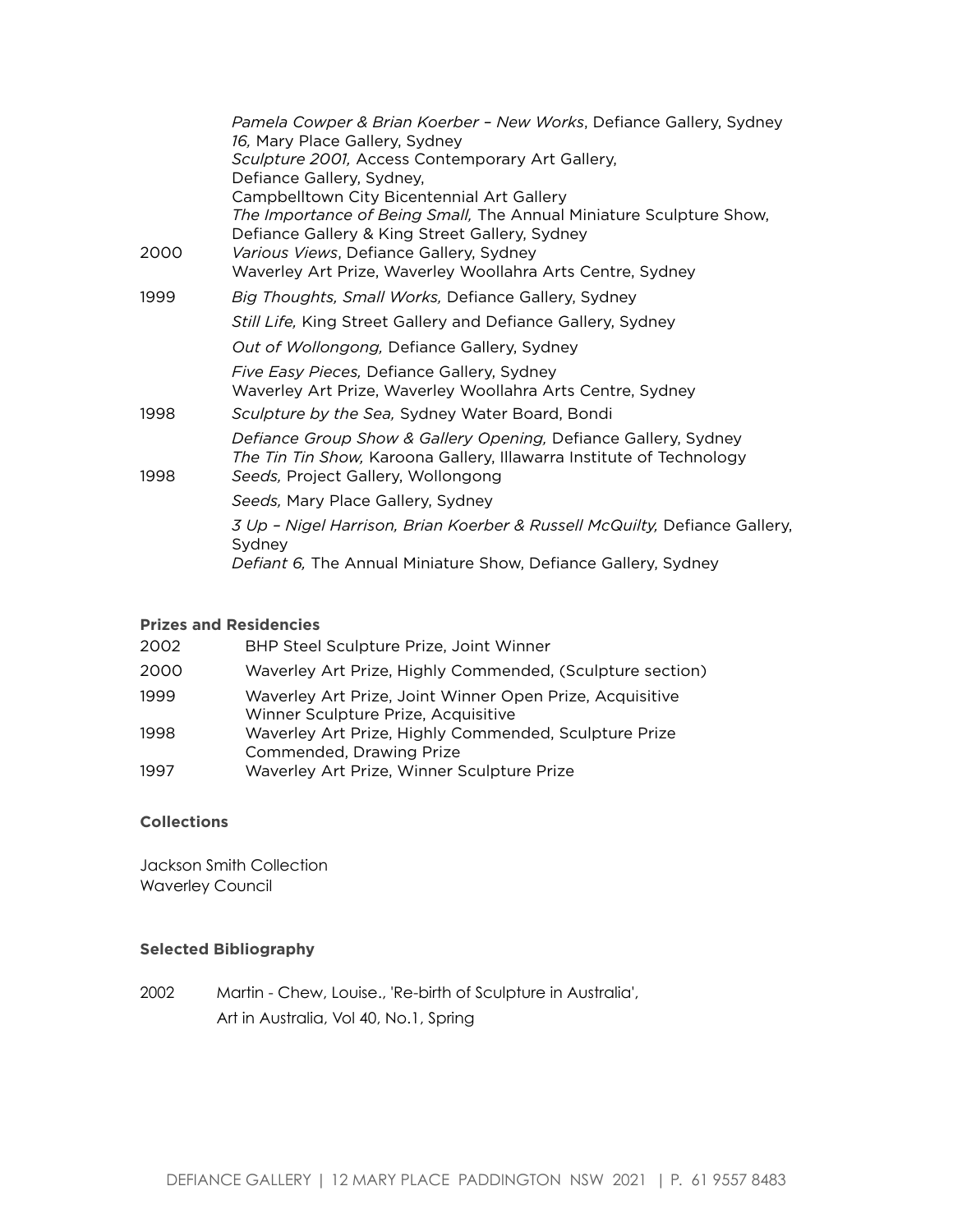|      | Pamela Cowper & Brian Koerber - New Works, Defiance Gallery, Sydney<br>16, Mary Place Gallery, Sydney                                                                         |
|------|-------------------------------------------------------------------------------------------------------------------------------------------------------------------------------|
|      | Sculpture 2001, Access Contemporary Art Gallery,                                                                                                                              |
|      | Defiance Gallery, Sydney,                                                                                                                                                     |
|      | Campbelltown City Bicentennial Art Gallery                                                                                                                                    |
|      | The Importance of Being Small, The Annual Miniature Sculpture Show,                                                                                                           |
|      | Defiance Gallery & King Street Gallery, Sydney<br>Various Views, Defiance Gallery, Sydney                                                                                     |
| 2000 | Waverley Art Prize, Waverley Woollahra Arts Centre, Sydney                                                                                                                    |
| 1999 | Big Thoughts, Small Works, Defiance Gallery, Sydney                                                                                                                           |
|      | Still Life, King Street Gallery and Defiance Gallery, Sydney                                                                                                                  |
|      | Out of Wollongong, Defiance Gallery, Sydney                                                                                                                                   |
|      | Five Easy Pieces, Defiance Gallery, Sydney                                                                                                                                    |
|      | Waverley Art Prize, Waverley Woollahra Arts Centre, Sydney                                                                                                                    |
| 1998 | Sculpture by the Sea, Sydney Water Board, Bondi                                                                                                                               |
| 1998 | Defiance Group Show & Gallery Opening, Defiance Gallery, Sydney<br>The Tin Tin Show, Karoona Gallery, Illawarra Institute of Technology<br>Seeds, Project Gallery, Wollongong |
|      | Seeds, Mary Place Gallery, Sydney                                                                                                                                             |
|      | 3 Up - Nigel Harrison, Brian Koerber & Russell McQuilty, Defiance Gallery,<br>Sydney                                                                                          |
|      | Defiant 6, The Annual Miniature Show, Defiance Gallery, Sydney                                                                                                                |

#### **Prizes and Residencies**

| 2002 | BHP Steel Sculpture Prize, Joint Winner                                                         |
|------|-------------------------------------------------------------------------------------------------|
| 2000 | Waverley Art Prize, Highly Commended, (Sculpture section)                                       |
| 1999 | Waverley Art Prize, Joint Winner Open Prize, Acquisitive<br>Winner Sculpture Prize, Acquisitive |
| 1998 | Waverley Art Prize, Highly Commended, Sculpture Prize<br>Commended, Drawing Prize               |
| 1997 | Waverley Art Prize, Winner Sculpture Prize                                                      |

## **Collections**

Jackson Smith Collection Waverley Council

## **Selected Bibliography**

2002 Martin - Chew, Louise., 'Re-birth of Sculpture in Australia', Art in Australia, Vol 40, No.1, Spring